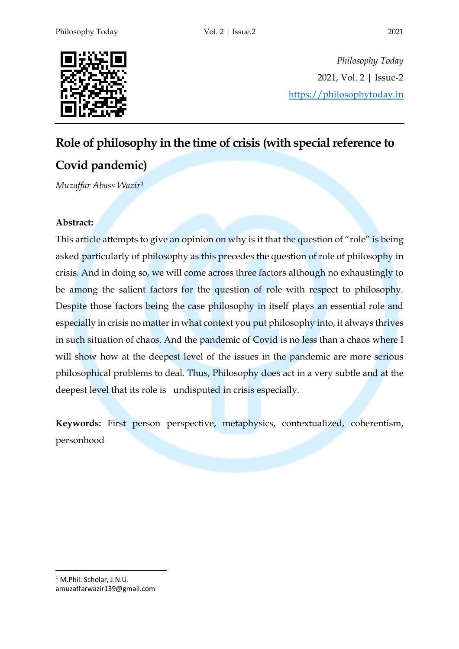

*Philosophy Today* 2021, Vol. 2 | Issue-2 https://philosophytoday.in

## **Role of philosophy in the time of crisis (with special reference to**

# **Covid pandemic)**

*Muzaffar Abass Wazir1*

### **Abstract:**

This article attempts to give an opinion on why is it that the question of "role" is being asked particularly of philosophy as this precedes the question of role of philosophy in crisis. And in doing so, we will come across three factors although no exhaustingly to be among the salient factors for the question of role with respect to philosophy. Despite those factors being the case philosophy in itself plays an essential role and especially in crisis no matter in what context you put philosophy into, it always thrives in such situation of chaos. And the pandemic of Covid is no less than a chaos where I will show how at the deepest level of the issues in the pandemic are more serious philosophical problems to deal. Thus, Philosophy does act in a very subtle and at the deepest level that its role is undisputed in crisis especially.

**Keywords:** First person perspective, metaphysics, contextualized, coherentism, personhood

 <sup>1</sup> M.Phil. Scholar, J.N.U. amuzaffarwazir139@gmail.com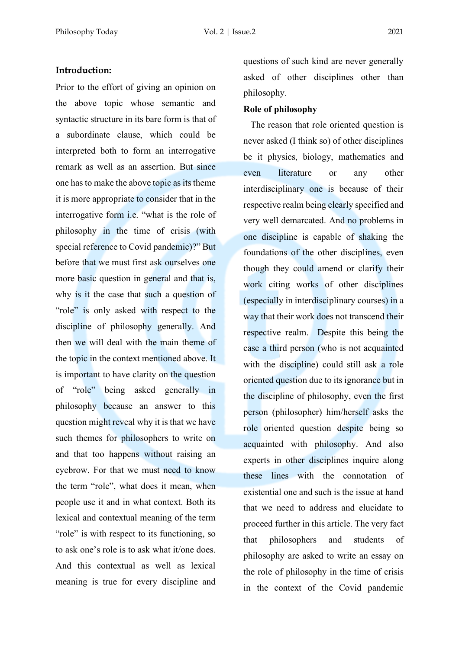#### **Introduction:**

Prior to the effort of giving an opinion on the above topic whose semantic and syntactic structure in its bare form is that of a subordinate clause, which could be interpreted both to form an interrogative remark as well as an assertion. But since one has to make the above topic as its theme it is more appropriate to consider that in the interrogative form i.e. "what is the role of philosophy in the time of crisis (with special reference to Covid pandemic)?" But before that we must first ask ourselves one more basic question in general and that is, why is it the case that such a question of "role" is only asked with respect to the discipline of philosophy generally. And then we will deal with the main theme of the topic in the context mentioned above. It is important to have clarity on the question of "role" being asked generally in philosophy because an answer to this question might reveal why it is that we have such themes for philosophers to write on and that too happens without raising an eyebrow. For that we must need to know the term "role", what does it mean, when people use it and in what context. Both its lexical and contextual meaning of the term "role" is with respect to its functioning, so to ask one's role is to ask what it/one does. And this contextual as well as lexical meaning is true for every discipline and

questions of such kind are never generally asked of other disciplines other than philosophy.

#### **Role of philosophy**

 The reason that role oriented question is never asked (I think so) of other disciplines be it physics, biology, mathematics and even literature or any other interdisciplinary one is because of their respective realm being clearly specified and very well demarcated. And no problems in one discipline is capable of shaking the foundations of the other disciplines, even though they could amend or clarify their work citing works of other disciplines (especially in interdisciplinary courses) in a way that their work does not transcend their respective realm. Despite this being the case a third person (who is not acquainted with the discipline) could still ask a role oriented question due to its ignorance but in the discipline of philosophy, even the first person (philosopher) him/herself asks the role oriented question despite being so acquainted with philosophy. And also experts in other disciplines inquire along these lines with the connotation of existential one and such is the issue at hand that we need to address and elucidate to proceed further in this article. The very fact that philosophers and students of philosophy are asked to write an essay on the role of philosophy in the time of crisis in the context of the Covid pandemic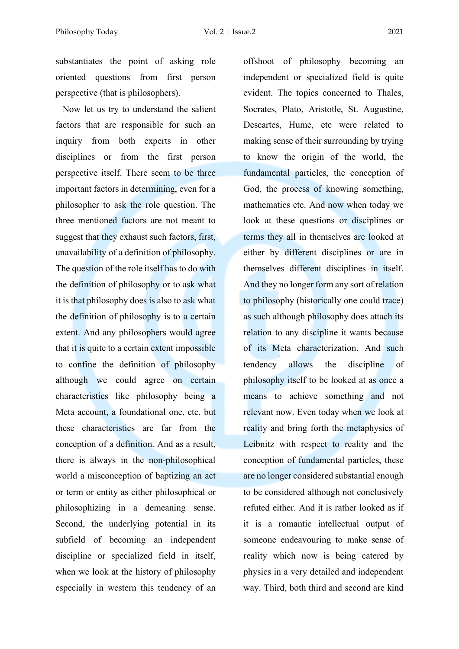substantiates the point of asking role oriented questions from first person perspective (that is philosophers).

 Now let us try to understand the salient factors that are responsible for such an inquiry from both experts in other disciplines or from the first person perspective itself. There seem to be three important factors in determining, even for a philosopher to ask the role question. The three mentioned factors are not meant to suggest that they exhaust such factors, first, unavailability of a definition of philosophy. The question of the role itself has to do with the definition of philosophy or to ask what it is that philosophy does is also to ask what the definition of philosophy is to a certain extent. And any philosophers would agree that it is quite to a certain extent impossible to confine the definition of philosophy although we could agree on certain characteristics like philosophy being a Meta account, a foundational one, etc. but these characteristics are far from the conception of a definition. And as a result, there is always in the non-philosophical world a misconception of baptizing an act or term or entity as either philosophical or philosophizing in a demeaning sense. Second, the underlying potential in its subfield of becoming an independent discipline or specialized field in itself, when we look at the history of philosophy especially in western this tendency of an

offshoot of philosophy becoming an independent or specialized field is quite evident. The topics concerned to Thales, Socrates, Plato, Aristotle, St. Augustine, Descartes, Hume, etc were related to making sense of their surrounding by trying to know the origin of the world, the fundamental particles, the conception of God, the process of knowing something, mathematics etc. And now when today we look at these questions or disciplines or terms they all in themselves are looked at either by different disciplines or are in themselves different disciplines in itself. And they no longer form any sort of relation to philosophy (historically one could trace) as such although philosophy does attach its relation to any discipline it wants because of its Meta characterization. And such tendency allows the discipline of philosophy itself to be looked at as once a means to achieve something and not relevant now. Even today when we look at reality and bring forth the metaphysics of Leibnitz with respect to reality and the conception of fundamental particles, these are no longer considered substantial enough to be considered although not conclusively refuted either. And it is rather looked as if it is a romantic intellectual output of someone endeavouring to make sense of reality which now is being catered by physics in a very detailed and independent way. Third, both third and second are kind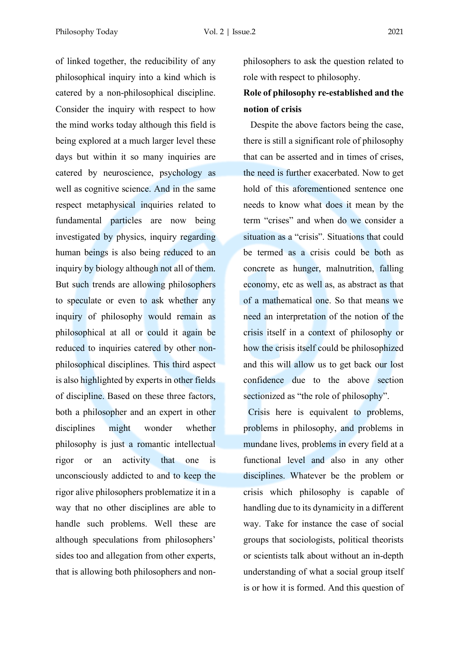of linked together, the reducibility of any philosophical inquiry into a kind which is catered by a non-philosophical discipline. Consider the inquiry with respect to how the mind works today although this field is being explored at a much larger level these days but within it so many inquiries are catered by neuroscience, psychology as well as cognitive science. And in the same respect metaphysical inquiries related to fundamental particles are now being investigated by physics, inquiry regarding human beings is also being reduced to an inquiry by biology although not all of them. But such trends are allowing philosophers to speculate or even to ask whether any inquiry of philosophy would remain as philosophical at all or could it again be reduced to inquiries catered by other nonphilosophical disciplines. This third aspect is also highlighted by experts in other fields of discipline. Based on these three factors, both a philosopher and an expert in other disciplines might wonder whether philosophy is just a romantic intellectual rigor or an activity that one is unconsciously addicted to and to keep the rigor alive philosophers problematize it in a way that no other disciplines are able to handle such problems. Well these are although speculations from philosophers' sides too and allegation from other experts, that is allowing both philosophers and nonphilosophers to ask the question related to role with respect to philosophy.

## **Role of philosophy re-established and the notion of crisis**

 Despite the above factors being the case, there is still a significant role of philosophy that can be asserted and in times of crises, the need is further exacerbated. Now to get hold of this aforementioned sentence one needs to know what does it mean by the term "crises" and when do we consider a situation as a "crisis". Situations that could be termed as a crisis could be both as concrete as hunger, malnutrition, falling economy, etc as well as, as abstract as that of a mathematical one. So that means we need an interpretation of the notion of the crisis itself in a context of philosophy or how the crisis itself could be philosophized and this will allow us to get back our lost confidence due to the above section sectionized as "the role of philosophy".

 Crisis here is equivalent to problems, problems in philosophy, and problems in mundane lives, problems in every field at a functional level and also in any other disciplines. Whatever be the problem or crisis which philosophy is capable of handling due to its dynamicity in a different way. Take for instance the case of social groups that sociologists, political theorists or scientists talk about without an in-depth understanding of what a social group itself is or how it is formed. And this question of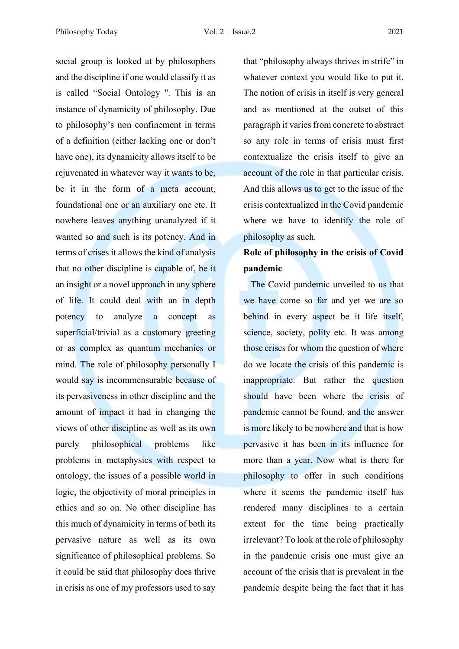Philosophy Today Vol. 2 | Issue.2 2021

social group is looked at by philosophers and the discipline if one would classify it as is called "Social Ontology ''. This is an instance of dynamicity of philosophy. Due to philosophy's non confinement in terms of a definition (either lacking one or don't have one), its dynamicity allows itself to be rejuvenated in whatever way it wants to be, be it in the form of a meta account, foundational one or an auxiliary one etc. It nowhere leaves anything unanalyzed if it wanted so and such is its potency. And in terms of crises it allows the kind of analysis that no other discipline is capable of, be it an insight or a novel approach in any sphere of life. It could deal with an in depth potency to analyze a concept as superficial/trivial as a customary greeting or as complex as quantum mechanics or mind. The role of philosophy personally I would say is incommensurable because of its pervasiveness in other discipline and the amount of impact it had in changing the views of other discipline as well as its own purely philosophical problems like problems in metaphysics with respect to ontology, the issues of a possible world in logic, the objectivity of moral principles in ethics and so on. No other discipline has this much of dynamicity in terms of both its pervasive nature as well as its own significance of philosophical problems. So it could be said that philosophy does thrive in crisis as one of my professors used to say

that "philosophy always thrives in strife" in whatever context you would like to put it. The notion of crisis in itself is very general and as mentioned at the outset of this paragraph it varies from concrete to abstract so any role in terms of crisis must first contextualize the crisis itself to give an account of the role in that particular crisis. And this allows us to get to the issue of the crisis contextualized in the Covid pandemic where we have to identify the role of philosophy as such.

## **Role of philosophy in the crisis of Covid pandemic**

 The Covid pandemic unveiled to us that we have come so far and yet we are so behind in every aspect be it life itself, science, society, polity etc. It was among those crises for whom the question of where do we locate the crisis of this pandemic is inappropriate. But rather the question should have been where the crisis of pandemic cannot be found, and the answer is more likely to be nowhere and that is how pervasive it has been in its influence for more than a year. Now what is there for philosophy to offer in such conditions where it seems the pandemic itself has rendered many disciplines to a certain extent for the time being practically irrelevant? To look at the role of philosophy in the pandemic crisis one must give an account of the crisis that is prevalent in the pandemic despite being the fact that it has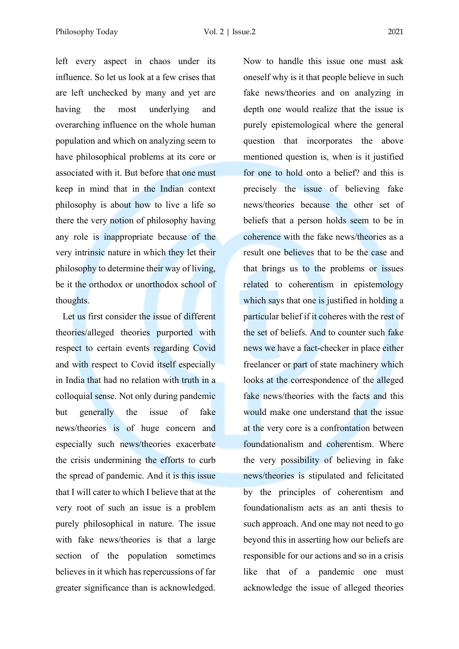left every aspect in chaos under its influence. So let us look at a few crises that are left unchecked by many and yet are having the most underlying and overarching influence on the whole human population and which on analyzing seem to have philosophical problems at its core or associated with it. But before that one must keep in mind that in the Indian context philosophy is about how to live a life so there the very notion of philosophy having any role is inappropriate because of the very intrinsic nature in which they let their philosophy to determine their way of living, be it the orthodox or unorthodox school of thoughts.

 Let us first consider the issue of different theories/alleged theories purported with respect to certain events regarding Covid and with respect to Covid itself especially in India that had no relation with truth in a colloquial sense. Not only during pandemic but generally the issue of fake news/theories is of huge concern and especially such news/theories exacerbate the crisis undermining the efforts to curb the spread of pandemic. And it is this issue that I will cater to which I believe that at the very root of such an issue is a problem purely philosophical in nature. The issue with fake news/theories is that a large section of the population sometimes believes in it which has repercussions of far greater significance than is acknowledged.

Now to handle this issue one must ask oneself why is it that people believe in such fake news/theories and on analyzing in depth one would realize that the issue is purely epistemological where the general question that incorporates the above mentioned question is, when is it justified for one to hold onto a belief? and this is precisely the issue of believing fake news/theories because the other set of beliefs that a person holds seem to be in coherence with the fake news/theories as a result one believes that to be the case and that brings us to the problems or issues related to coherentism in epistemology which says that one is justified in holding a particular belief if it coheres with the rest of the set of beliefs. And to counter such fake news we have a fact-checker in place either freelancer or part of state machinery which looks at the correspondence of the alleged fake news/theories with the facts and this would make one understand that the issue at the very core is a confrontation between foundationalism and coherentism. Where the very possibility of believing in fake news/theories is stipulated and felicitated by the principles of coherentism and foundationalism acts as an anti thesis to such approach. And one may not need to go beyond this in asserting how our beliefs are responsible for our actions and so in a crisis like that of a pandemic one must acknowledge the issue of alleged theories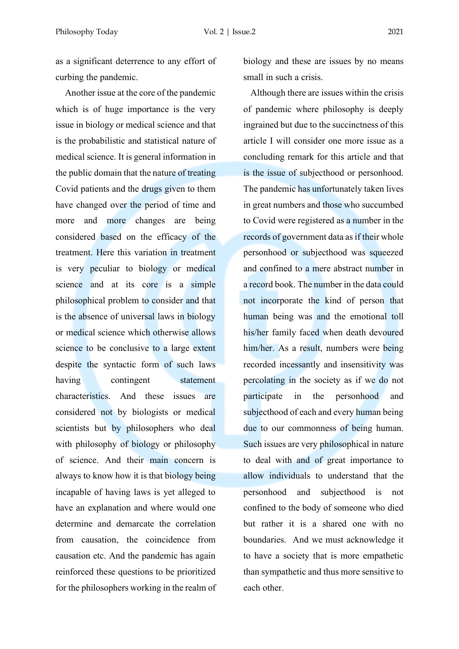as a significant deterrence to any effort of curbing the pandemic.

 Another issue at the core of the pandemic which is of huge importance is the very issue in biology or medical science and that is the probabilistic and statistical nature of medical science. It is general information in the public domain that the nature of treating Covid patients and the drugs given to them have changed over the period of time and more and more changes are being considered based on the efficacy of the treatment. Here this variation in treatment is very peculiar to biology or medical science and at its core is a simple philosophical problem to consider and that is the absence of universal laws in biology or medical science which otherwise allows science to be conclusive to a large extent despite the syntactic form of such laws having contingent statement characteristics. And these issues are considered not by biologists or medical scientists but by philosophers who deal with philosophy of biology or philosophy of science. And their main concern is always to know how it is that biology being incapable of having laws is yet alleged to have an explanation and where would one determine and demarcate the correlation from causation, the coincidence from causation etc. And the pandemic has again reinforced these questions to be prioritized for the philosophers working in the realm of biology and these are issues by no means small in such a crisis.

 Although there are issues within the crisis of pandemic where philosophy is deeply ingrained but due to the succinctness of this article I will consider one more issue as a concluding remark for this article and that is the issue of subjecthood or personhood. The pandemic has unfortunately taken lives in great numbers and those who succumbed to Covid were registered as a number in the records of government data as if their whole personhood or subjecthood was squeezed and confined to a mere abstract number in a record book. The number in the data could not incorporate the kind of person that human being was and the emotional toll his/her family faced when death devoured him/her. As a result, numbers were being recorded incessantly and insensitivity was percolating in the society as if we do not participate in the personhood and subjecthood of each and every human being due to our commonness of being human. Such issues are very philosophical in nature to deal with and of great importance to allow individuals to understand that the personhood and subjecthood is not confined to the body of someone who died but rather it is a shared one with no boundaries. And we must acknowledge it to have a society that is more empathetic than sympathetic and thus more sensitive to each other.